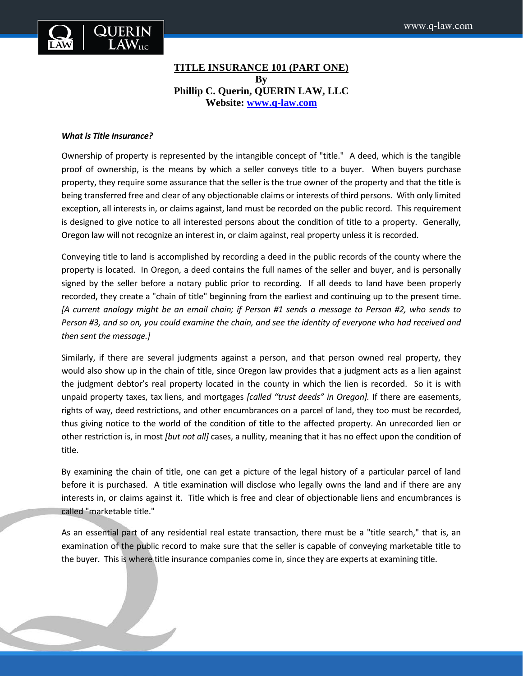

# **TITLE INSURANCE 101 (PART ONE) By Phillip C. Querin, QUERIN LAW, LLC Website: [www.q-law.com](http://www.q-law.com/)**

#### *What is Title Insurance?*

Ownership of property is represented by the intangible concept of "title." A deed, which is the tangible proof of ownership, is the means by which a seller conveys title to a buyer. When buyers purchase property, they require some assurance that the seller is the true owner of the property and that the title is being transferred free and clear of any objectionable claims or interests of third persons. With only limited exception, all interests in, or claims against, land must be recorded on the public record. This requirement is designed to give notice to all interested persons about the condition of title to a property. Generally, Oregon law will not recognize an interest in, or claim against, real property unless it is recorded.

Conveying title to land is accomplished by recording a deed in the public records of the county where the property is located. In Oregon, a deed contains the full names of the seller and buyer, and is personally signed by the seller before a notary public prior to recording. If all deeds to land have been properly recorded, they create a "chain of title" beginning from the earliest and continuing up to the present time. *[A current analogy might be an email chain; if Person #1 sends a message to Person #2, who sends to Person #3, and so on, you could examine the chain, and see the identity of everyone who had received and then sent the message.]* 

Similarly, if there are several judgments against a person, and that person owned real property, they would also show up in the chain of title, since Oregon law provides that a judgment acts as a lien against the judgment debtor's real property located in the county in which the lien is recorded. So it is with unpaid property taxes, tax liens, and mortgages *[called "trust deeds" in Oregon].* If there are easements, rights of way, deed restrictions, and other encumbrances on a parcel of land, they too must be recorded, thus giving notice to the world of the condition of title to the affected property. An unrecorded lien or other restriction is, in most *[but not all]* cases, a nullity, meaning that it has no effect upon the condition of title.

By examining the chain of title, one can get a picture of the legal history of a particular parcel of land before it is purchased. A title examination will disclose who legally owns the land and if there are any interests in, or claims against it. Title which is free and clear of objectionable liens and encumbrances is called "marketable title."

As an essential part of any residential real estate transaction, there must be a "title search," that is, an examination of the public record to make sure that the seller is capable of conveying marketable title to the buyer. This is where title insurance companies come in, since they are experts at examining title.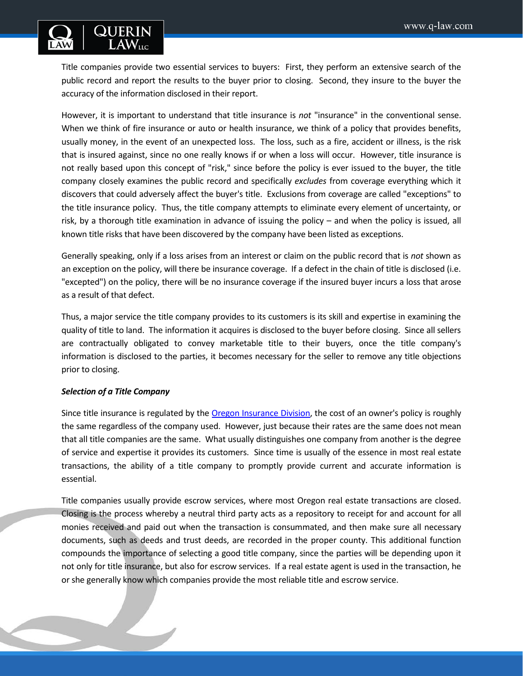

Title companies provide two essential services to buyers: First, they perform an extensive search of the public record and report the results to the buyer prior to closing. Second, they insure to the buyer the accuracy of the information disclosed in their report.

However, it is important to understand that title insurance is *not* "insurance" in the conventional sense. When we think of fire insurance or auto or health insurance, we think of a policy that provides benefits, usually money, in the event of an unexpected loss. The loss, such as a fire, accident or illness, is the risk that is insured against, since no one really knows if or when a loss will occur. However, title insurance is not really based upon this concept of "risk," since before the policy is ever issued to the buyer, the title company closely examines the public record and specifically *excludes* from coverage everything which it discovers that could adversely affect the buyer's title. Exclusions from coverage are called "exceptions" to the title insurance policy. Thus, the title company attempts to eliminate every element of uncertainty, or risk, by a thorough title examination in advance of issuing the policy – and when the policy is issued, all known title risks that have been discovered by the company have been listed as exceptions.

Generally speaking, only if a loss arises from an interest or claim on the public record that is *not* shown as an exception on the policy, will there be insurance coverage. If a defect in the chain of title is disclosed (i.e. "excepted") on the policy, there will be no insurance coverage if the insured buyer incurs a loss that arose as a result of that defect.

Thus, a major service the title company provides to its customers is its skill and expertise in examining the quality of title to land. The information it acquires is disclosed to the buyer before closing. Since all sellers are contractually obligated to convey marketable title to their buyers, once the title company's information is disclosed to the parties, it becomes necessary for the seller to remove any title objections prior to closing.

# *Selection of a Title Company*

Since title insurance is regulated by th[e Oregon Insurance Division,](http://www.cbs.state.or.us/ins/) the cost of an owner's policy is roughly the same regardless of the company used. However, just because their rates are the same does not mean that all title companies are the same. What usually distinguishes one company from another is the degree of service and expertise it provides its customers. Since time is usually of the essence in most real estate transactions, the ability of a title company to promptly provide current and accurate information is essential.

Title companies usually provide escrow services, where most Oregon real estate transactions are closed. Closing is the process whereby a neutral third party acts as a repository to receipt for and account for all monies received and paid out when the transaction is consummated, and then make sure all necessary documents, such as deeds and trust deeds, are recorded in the proper county. This additional function compounds the importance of selecting a good title company, since the parties will be depending upon it not only for title insurance, but also for escrow services. If a real estate agent is used in the transaction, he or she generally know which companies provide the most reliable title and escrow service.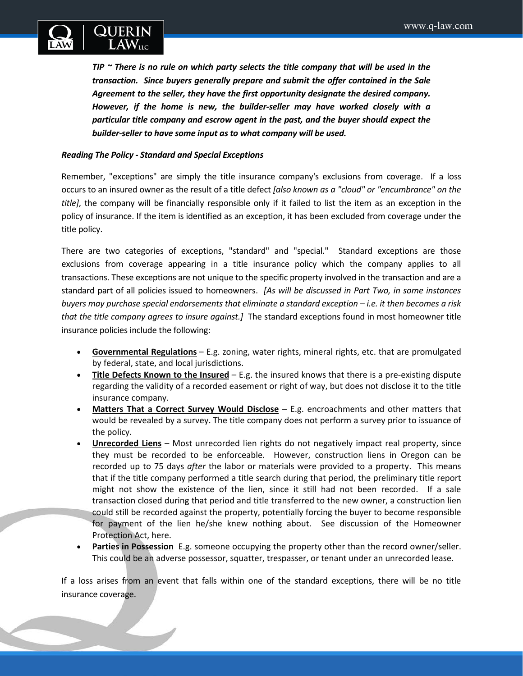

*TIP ~ There is no rule on which party selects the title company that will be used in the transaction. Since buyers generally prepare and submit the offer contained in the Sale Agreement to the seller, they have the first opportunity designate the desired company. However, if the home is new, the builder-seller may have worked closely with a particular title company and escrow agent in the past, and the buyer should expect the builder-seller to have some input as to what company will be used.*

# *Reading The Policy - Standard and Special Exceptions*

Remember, "exceptions" are simply the title insurance company's exclusions from coverage. If a loss occurs to an insured owner as the result of a title defect *[also known as a "cloud" or "encumbrance" on the title]*, the company will be financially responsible only if it failed to list the item as an exception in the policy of insurance. If the item is identified as an exception, it has been excluded from coverage under the title policy.

There are two categories of exceptions, "standard" and "special." Standard exceptions are those exclusions from coverage appearing in a title insurance policy which the company applies to all transactions. These exceptions are not unique to the specific property involved in the transaction and are a standard part of all policies issued to homeowners. *[As will be discussed in Part Two, in some instances buyers may purchase special endorsements that eliminate a standard exception – i.e. it then becomes a risk that the title company agrees to insure against.]* The standard exceptions found in most homeowner title insurance policies include the following:

- **Governmental Regulations** E.g. zoning, water rights, mineral rights, etc. that are promulgated by federal, state, and local jurisdictions.
- **Title Defects Known to the Insured** E.g. the insured knows that there is a pre-existing dispute regarding the validity of a recorded easement or right of way, but does not disclose it to the title insurance company.
- **Matters That a Correct Survey Would Disclose** E.g. encroachments and other matters that would be revealed by a survey. The title company does not perform a survey prior to issuance of the policy.
- **Unrecorded Liens** Most unrecorded lien rights do not negatively impact real property, since they must be recorded to be enforceable. However, construction liens in Oregon can be recorded up to 75 days *after* the labor or materials were provided to a property. This means that if the title company performed a title search during that period, the preliminary title report might not show the existence of the lien, since it still had not been recorded. If a sale transaction closed during that period and title transferred to the new owner, a construction lien could still be recorded against the property, potentially forcing the buyer to become responsible for payment of the lien he/she knew nothing about. See discussion of the Homeowner Protection Act, here.
- **Parties in Possession** E.g. someone occupying the property other than the record owner/seller. This could be an adverse possessor, squatter, trespasser, or tenant under an unrecorded lease.

If a loss arises from an event that falls within one of the standard exceptions, there will be no title insurance coverage.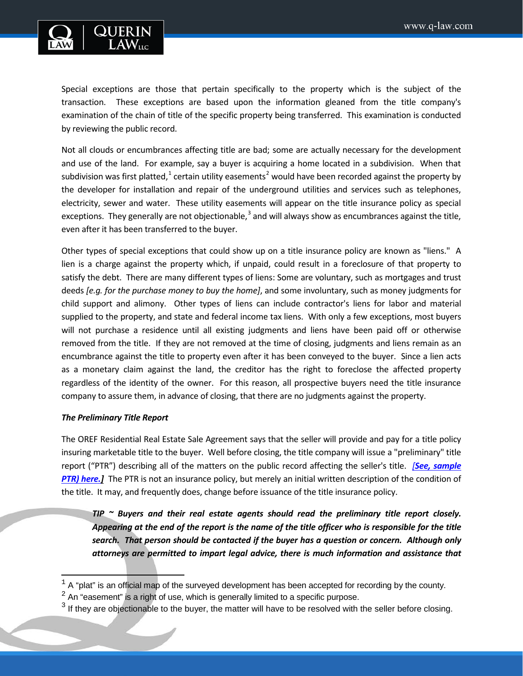

Special exceptions are those that pertain specifically to the property which is the subject of the transaction. These exceptions are based upon the information gleaned from the title company's examination of the chain of title of the specific property being transferred. This examination is conducted by reviewing the public record.

Not all clouds or encumbrances affecting title are bad; some are actually necessary for the development and use of the land. For example, say a buyer is acquiring a home located in a subdivision. When that subdivision was first platted,<sup>[1](#page-3-0)</sup> certain utility easements<sup>[2](#page-3-1)</sup> would have been recorded against the property by the developer for installation and repair of the underground utilities and services such as telephones, electricity, sewer and water. These utility easements will appear on the title insurance policy as special exceptions. They generally are not objectionable, $3$  and will always show as encumbrances against the title, even after it has been transferred to the buyer.

Other types of special exceptions that could show up on a title insurance policy are known as "liens." A lien is a charge against the property which, if unpaid, could result in a foreclosure of that property to satisfy the debt. There are many different types of liens: Some are voluntary, such as mortgages and trust deeds *[e.g. for the purchase money to buy the home]*, and some involuntary, such as money judgments for child support and alimony. Other types of liens can include contractor's liens for labor and material supplied to the property, and state and federal income tax liens. With only a few exceptions, most buyers will not purchase a residence until all existing judgments and liens have been paid off or otherwise removed from the title. If they are not removed at the time of closing, judgments and liens remain as an encumbrance against the title to property even after it has been conveyed to the buyer. Since a lien acts as a monetary claim against the land, the creditor has the right to foreclose the affected property regardless of the identity of the owner. For this reason, all prospective buyers need the title insurance company to assure them, in advance of closing, that there are no judgments against the property.

# *The Preliminary Title Report*

 $\overline{\phantom{a}}$ 

The OREF Residential Real Estate Sale Agreement says that the seller will provide and pay for a title policy insuring marketable title to the buyer. Well before closing, the title company will issue a "preliminary" title report ("PTR") describing all of the matters on the public record affecting the seller's title. *[See, [sample](http://www.beavertonoregon.gov/DocumentCenter/View/4468)  PTR) [here.\]](http://www.beavertonoregon.gov/DocumentCenter/View/4468)* The PTR is not an insurance policy, but merely an initial written description of the condition of the title. It may, and frequently does, change before issuance of the title insurance policy.

*TIP ~ Buyers and their real estate agents should read the preliminary title report closely. Appearing at the end of the report is the name of the title officer who is responsible for the title search. That person should be contacted if the buyer has a question or concern. Although only attorneys are permitted to impart legal advice, there is much information and assistance that* 

<span id="page-3-0"></span> $1$  A "plat" is an official map of the surveyed development has been accepted for recording by the county.

<span id="page-3-1"></span> $2$  An "easement" is a right of use, which is generally limited to a specific purpose.

<span id="page-3-2"></span> $3$  If they are objectionable to the buyer, the matter will have to be resolved with the seller before closing.